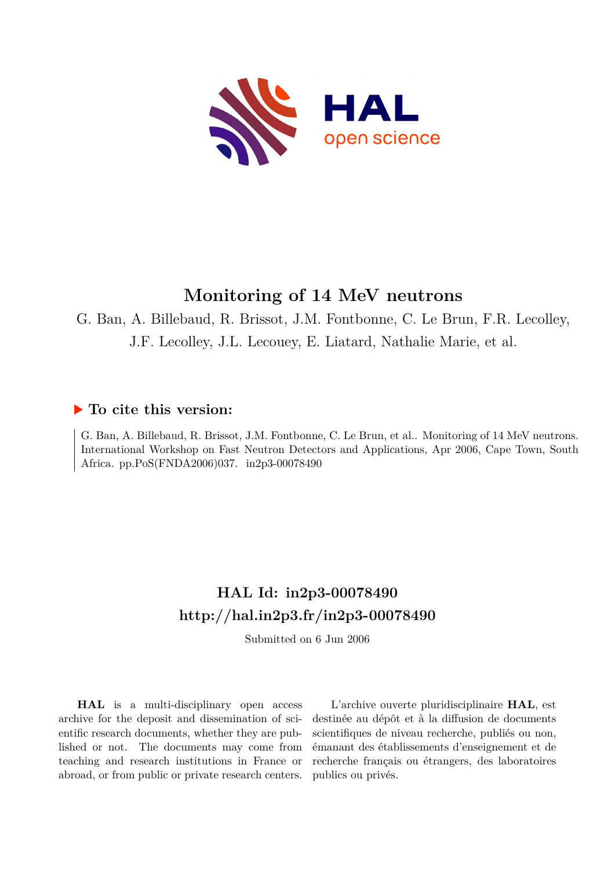

## **Monitoring of 14 MeV neutrons**

G. Ban, A. Billebaud, R. Brissot, J.M. Fontbonne, C. Le Brun, F.R. Lecolley, J.F. Lecolley, J.L. Lecouey, E. Liatard, Nathalie Marie, et al.

# **To cite this version:**

G. Ban, A. Billebaud, R. Brissot, J.M. Fontbonne, C. Le Brun, et al.. Monitoring of 14 MeV neutrons. International Workshop on Fast Neutron Detectors and Applications, Apr 2006, Cape Town, South Africa. pp.PoS(FNDA2006)037. in2p3-00078490

### **HAL Id: in2p3-00078490 <http://hal.in2p3.fr/in2p3-00078490>**

Submitted on 6 Jun 2006

**HAL** is a multi-disciplinary open access archive for the deposit and dissemination of scientific research documents, whether they are published or not. The documents may come from teaching and research institutions in France or abroad, or from public or private research centers.

L'archive ouverte pluridisciplinaire **HAL**, est destinée au dépôt et à la diffusion de documents scientifiques de niveau recherche, publiés ou non, émanant des établissements d'enseignement et de recherche français ou étrangers, des laboratoires publics ou privés.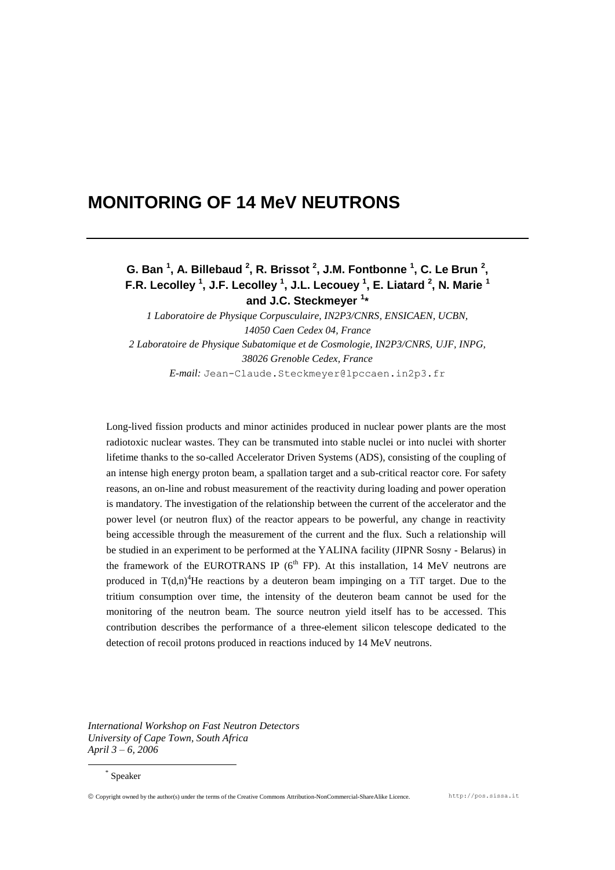### **MONITORING OF 14 MeV NEUTRONS**

### **G. Ban <sup>1</sup> , A. Billebaud <sup>2</sup> , R. Brissot <sup>2</sup> , J.M. Fontbonne <sup>1</sup> , C. Le Brun <sup>2</sup> , F.R. Lecolley <sup>1</sup> , J.F. Lecolley <sup>1</sup> , J.L. Lecouey <sup>1</sup> , E. Liatard <sup>2</sup> , N. Marie <sup>1</sup> and J.C. Steckmeyer <sup>1</sup> \***

*1 Laboratoire de Physique Corpusculaire, IN2P3/CNRS, ENSICAEN, UCBN, 14050 Caen Cedex 04, France 2 Laboratoire de Physique Subatomique et de Cosmologie, IN2P3/CNRS, UJF, INPG, 38026 Grenoble Cedex, France E-mail:* Jean-Claude.Steckmeyer@lpccaen.in2p3.fr

Long-lived fission products and minor actinides produced in nuclear power plants are the most radiotoxic nuclear wastes. They can be transmuted into stable nuclei or into nuclei with shorter lifetime thanks to the so-called Accelerator Driven Systems (ADS), consisting of the coupling of an intense high energy proton beam, a spallation target and a sub-critical reactor core. For safety reasons, an on-line and robust measurement of the reactivity during loading and power operation is mandatory. The investigation of the relationship between the current of the accelerator and the power level (or neutron flux) of the reactor appears to be powerful, any change in reactivity being accessible through the measurement of the current and the flux. Such a relationship will be studied in an experiment to be performed at the YALINA facility (JIPNR Sosny - Belarus) in the framework of the EUROTRANS IP ( $6<sup>th</sup>$  FP). At this installation, 14 MeV neutrons are produced in  $T(d,n)^4$ He reactions by a deuteron beam impinging on a TiT target. Due to the tritium consumption over time, the intensity of the deuteron beam cannot be used for the monitoring of the neutron beam. The source neutron yield itself has to be accessed. This contribution describes the performance of a three-element silicon telescope dedicated to the detection of recoil protons produced in reactions induced by 14 MeV neutrons.

*International Workshop on Fast Neutron Detectors University of Cape Town, South Africa April 3 – 6, 2006*

\* Speaker

1

Copyright owned by the author(s) under the terms of the Creative Commons Attribution-NonCommercial-ShareAlike Licence. http://pos.sissa.it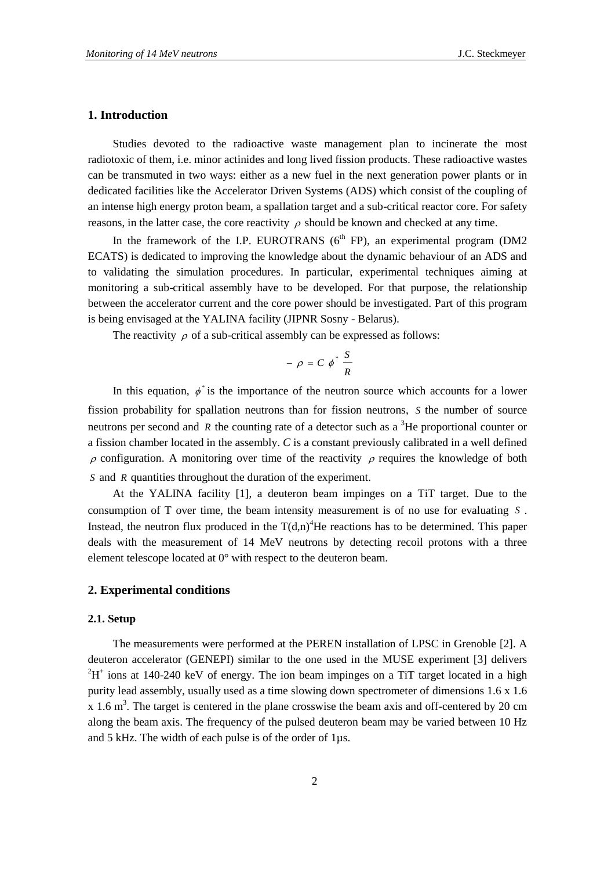#### **1. Introduction**

Studies devoted to the radioactive waste management plan to incinerate the most radiotoxic of them, i.e. minor actinides and long lived fission products. These radioactive wastes can be transmuted in two ways: either as a new fuel in the next generation power plants or in dedicated facilities like the Accelerator Driven Systems (ADS) which consist of the coupling of an intense high energy proton beam, a spallation target and a sub-critical reactor core. For safety reasons, in the latter case, the core reactivity  $\rho$  should be known and checked at any time.

In the framework of the I.P. EUROTRANS  $(6<sup>th</sup> FP)$ , an experimental program (DM2) ECATS) is dedicated to improving the knowledge about the dynamic behaviour of an ADS and to validating the simulation procedures. In particular, experimental techniques aiming at monitoring a sub-critical assembly have to be developed. For that purpose, the relationship between the accelerator current and the core power should be investigated. Part of this program is being envisaged at the YALINA facility (JIPNR Sosny - Belarus).

The reactivity  $\rho$  of a sub-critical assembly can be expressed as follows:

$$
- \rho = C \phi^* \frac{S}{R}
$$

In this equation,  $\phi^*$  is the importance of the neutron source which accounts for a lower fission probability for spallation neutrons than for fission neutrons, *S* the number of source neutrons per second and R the counting rate of a detector such as a  ${}^{3}$ He proportional counter or a fission chamber located in the assembly. *C* is a constant previously calibrated in a well defined  $\rho$  configuration. A monitoring over time of the reactivity  $\rho$  requires the knowledge of both *S* and *R* quantities throughout the duration of the experiment.

At the YALINA facility [1], a deuteron beam impinges on a TiT target. Due to the consumption of T over time, the beam intensity measurement is of no use for evaluating *S* . Instead, the neutron flux produced in the  $T(d,n)^4$ He reactions has to be determined. This paper deals with the measurement of 14 MeV neutrons by detecting recoil protons with a three element telescope located at 0° with respect to the deuteron beam.

#### **2. Experimental conditions**

#### **2.1. Setup**

The measurements were performed at the PEREN installation of LPSC in Grenoble [2]. A deuteron accelerator (GENEPI) similar to the one used in the MUSE experiment [3] delivers  ${}^{2}H^{+}$  ions at 140-240 keV of energy. The ion beam impinges on a TiT target located in a high purity lead assembly, usually used as a time slowing down spectrometer of dimensions 1.6 x 1.6  $x$  1.6 m<sup>3</sup>. The target is centered in the plane crosswise the beam axis and off-centered by 20 cm along the beam axis. The frequency of the pulsed deuteron beam may be varied between 10 Hz and 5 kHz. The width of each pulse is of the order of 1µs.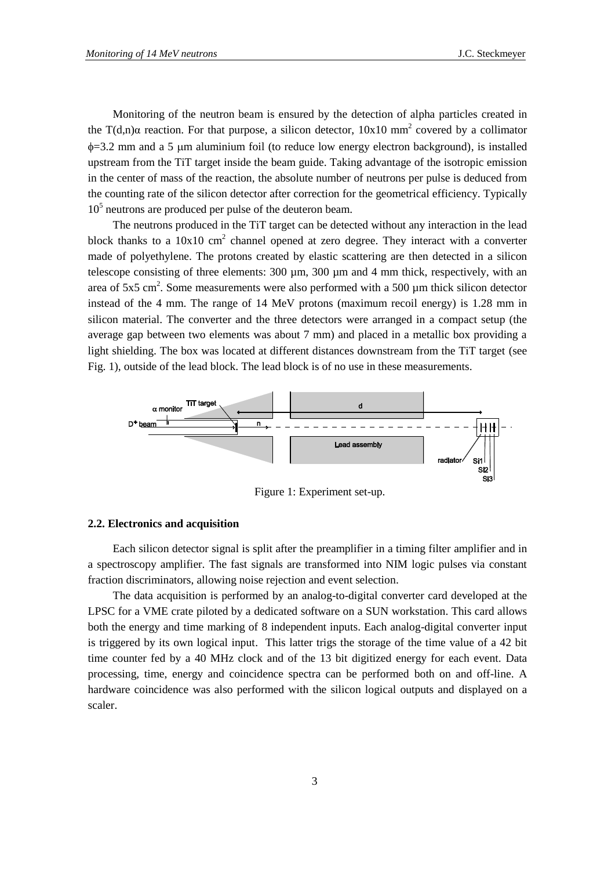Monitoring of the neutron beam is ensured by the detection of alpha particles created in the T(d,n) $\alpha$  reaction. For that purpose, a silicon detector, 10x10 mm<sup>2</sup> covered by a collimator  $\phi$ =3.2 mm and a 5 µm aluminium foil (to reduce low energy electron background), is installed upstream from the TiT target inside the beam guide. Taking advantage of the isotropic emission in the center of mass of the reaction, the absolute number of neutrons per pulse is deduced from the counting rate of the silicon detector after correction for the geometrical efficiency. Typically 10<sup>5</sup> neutrons are produced per pulse of the deuteron beam.

The neutrons produced in the TiT target can be detected without any interaction in the lead block thanks to a  $10x10$  cm<sup>2</sup> channel opened at zero degree. They interact with a converter made of polyethylene. The protons created by elastic scattering are then detected in a silicon telescope consisting of three elements:  $300 \mu m$ ,  $300 \mu m$  and 4 mm thick, respectively, with an area of  $5x5$  cm<sup>2</sup>. Some measurements were also performed with a 500  $\mu$ m thick silicon detector instead of the 4 mm. The range of 14 MeV protons (maximum recoil energy) is 1.28 mm in silicon material. The converter and the three detectors were arranged in a compact setup (the average gap between two elements was about 7 mm) and placed in a metallic box providing a light shielding. The box was located at different distances downstream from the TiT target (see Fig. 1), outside of the lead block. The lead block is of no use in these measurements.



Figure 1: Experiment set-up.

#### **2.2. Electronics and acquisition**

Each silicon detector signal is split after the preamplifier in a timing filter amplifier and in a spectroscopy amplifier. The fast signals are transformed into NIM logic pulses via constant fraction discriminators, allowing noise rejection and event selection.

The data acquisition is performed by an analog-to-digital converter card developed at the LPSC for a VME crate piloted by a dedicated software on a SUN workstation. This card allows both the energy and time marking of 8 independent inputs. Each analog-digital converter input is triggered by its own logical input. This latter trigs the storage of the time value of a 42 bit time counter fed by a 40 MHz clock and of the 13 bit digitized energy for each event. Data processing, time, energy and coincidence spectra can be performed both on and off-line. A hardware coincidence was also performed with the silicon logical outputs and displayed on a scaler.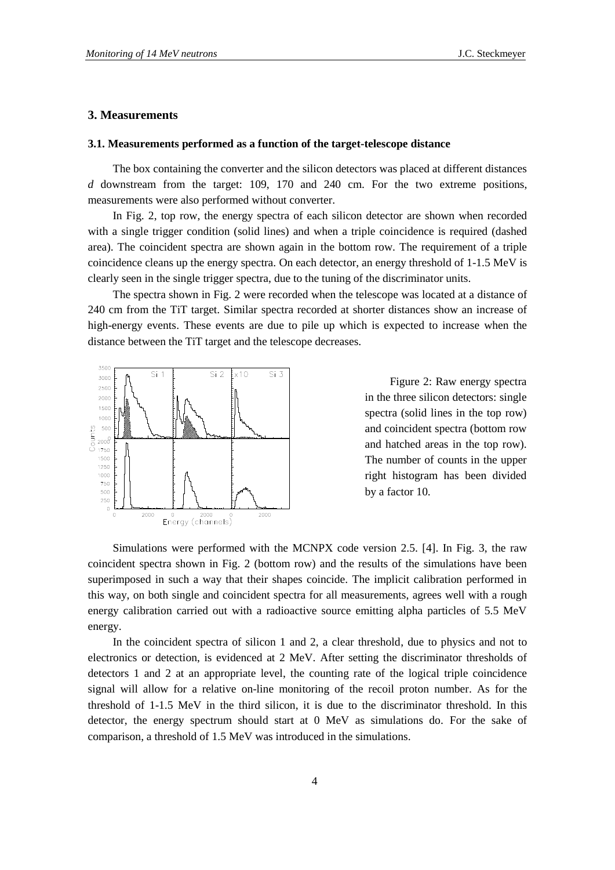#### **3. Measurements**

#### **3.1. Measurements performed as a function of the target-telescope distance**

The box containing the converter and the silicon detectors was placed at different distances *d* downstream from the target: 109, 170 and 240 cm. For the two extreme positions, measurements were also performed without converter.

In Fig. 2, top row, the energy spectra of each silicon detector are shown when recorded with a single trigger condition (solid lines) and when a triple coincidence is required (dashed area). The coincident spectra are shown again in the bottom row. The requirement of a triple coincidence cleans up the energy spectra. On each detector, an energy threshold of 1-1.5 MeV is clearly seen in the single trigger spectra, due to the tuning of the discriminator units.

The spectra shown in Fig. 2 were recorded when the telescope was located at a distance of 240 cm from the TiT target. Similar spectra recorded at shorter distances show an increase of high-energy events. These events are due to pile up which is expected to increase when the distance between the TiT target and the telescope decreases.



Figure 2: Raw energy spectra in the three silicon detectors: single spectra (solid lines in the top row) and coincident spectra (bottom row and hatched areas in the top row). The number of counts in the upper right histogram has been divided by a factor 10.

Simulations were performed with the MCNPX code version 2.5. [4]. In Fig. 3, the raw coincident spectra shown in Fig. 2 (bottom row) and the results of the simulations have been superimposed in such a way that their shapes coincide. The implicit calibration performed in this way, on both single and coincident spectra for all measurements, agrees well with a rough energy calibration carried out with a radioactive source emitting alpha particles of 5.5 MeV energy.

In the coincident spectra of silicon 1 and 2, a clear threshold, due to physics and not to electronics or detection, is evidenced at 2 MeV. After setting the discriminator thresholds of detectors 1 and 2 at an appropriate level, the counting rate of the logical triple coincidence signal will allow for a relative on-line monitoring of the recoil proton number. As for the threshold of 1-1.5 MeV in the third silicon, it is due to the discriminator threshold. In this detector, the energy spectrum should start at 0 MeV as simulations do. For the sake of comparison, a threshold of 1.5 MeV was introduced in the simulations.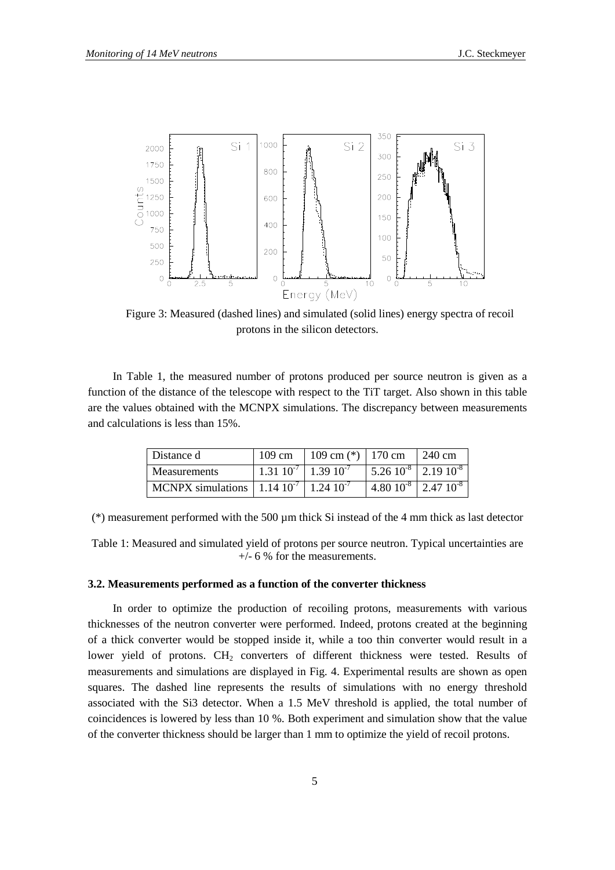

Figure 3: Measured (dashed lines) and simulated (solid lines) energy spectra of recoil protons in the silicon detectors.

In Table 1, the measured number of protons produced per source neutron is given as a function of the distance of the telescope with respect to the TiT target. Also shown in this table are the values obtained with the MCNPX simulations. The discrepancy between measurements and calculations is less than 15%.

| Distance d                                                             | 109 cm | $109 \text{ cm}$ <sup>(*)</sup> 170 cm |                               | $1240 \text{ cm}$                                         |
|------------------------------------------------------------------------|--------|----------------------------------------|-------------------------------|-----------------------------------------------------------|
| <b>Measurements</b>                                                    |        | $1.31\ 10^{-7}$   $1.39\ 10^{-7}$      |                               | $\frac{1}{2}$ 5.26 10 <sup>-8</sup> 2.19 10 <sup>-8</sup> |
| MCNPX simulations $\sqrt{1.14 \cdot 10^{-7} \cdot 1.24 \cdot 10^{-7}}$ |        |                                        | $1.80 10^{-8}$ $2.47 10^{-8}$ |                                                           |

(\*) measurement performed with the 500 µm thick Si instead of the 4 mm thick as last detector

Table 1: Measured and simulated yield of protons per source neutron. Typical uncertainties are +/- 6 % for the measurements.

#### **3.2. Measurements performed as a function of the converter thickness**

In order to optimize the production of recoiling protons, measurements with various thicknesses of the neutron converter were performed. Indeed, protons created at the beginning of a thick converter would be stopped inside it, while a too thin converter would result in a lower yield of protons. CH<sub>2</sub> converters of different thickness were tested. Results of measurements and simulations are displayed in Fig. 4. Experimental results are shown as open squares. The dashed line represents the results of simulations with no energy threshold associated with the Si3 detector. When a 1.5 MeV threshold is applied, the total number of coincidences is lowered by less than 10 %. Both experiment and simulation show that the value of the converter thickness should be larger than 1 mm to optimize the yield of recoil protons.